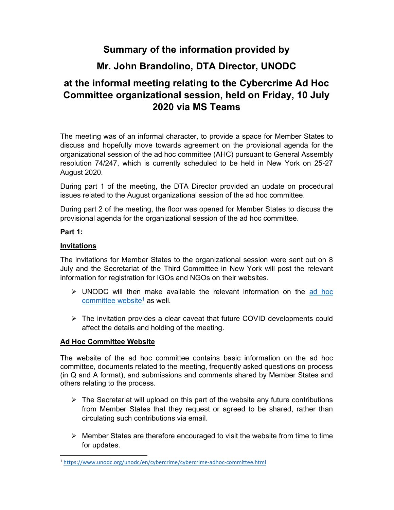## Summary of the information provided by

### Mr. John Brandolino, DTA Director, UNODC

# at the informal meeting relating to the Cybercrime Ad Hoc Committee organizational session, held on Friday, 10 July 2020 via MS Teams

The meeting was of an informal character, to provide a space for Member States to discuss and hopefully move towards agreement on the provisional agenda for the organizational session of the ad hoc committee (AHC) pursuant to General Assembly resolution 74/247, which is currently scheduled to be held in New York on 25-27 August 2020.

During part 1 of the meeting, the DTA Director provided an update on procedural issues related to the August organizational session of the ad hoc committee.

During part 2 of the meeting, the floor was opened for Member States to discuss the provisional agenda for the organizational session of the ad hoc committee.

#### Part 1:

#### Invitations

The invitations for Member States to the organizational session were sent out on 8 July and the Secretariat of the Third Committee in New York will post the relevant information for registration for IGOs and NGOs on their websites.

- UNODC will then make available the relevant information on the ad hoc committee website<sup>1</sup> as well.
- > The invitation provides a clear caveat that future COVID developments could affect the details and holding of the meeting.

### Ad Hoc Committee Website

The website of the ad hoc committee contains basic information on the ad hoc committee, documents related to the meeting, frequently asked questions on process (in Q and A format), and submissions and comments shared by Member States and others relating to the process.

- $\triangleright$  The Secretariat will upload on this part of the website any future contributions from Member States that they request or agreed to be shared, rather than circulating such contributions via email.
- $\triangleright$  Member States are therefore encouraged to visit the website from time to time for updates.

<sup>1</sup> https://www.unodc.org/unodc/en/cybercrime/cybercrime-adhoc-committee.html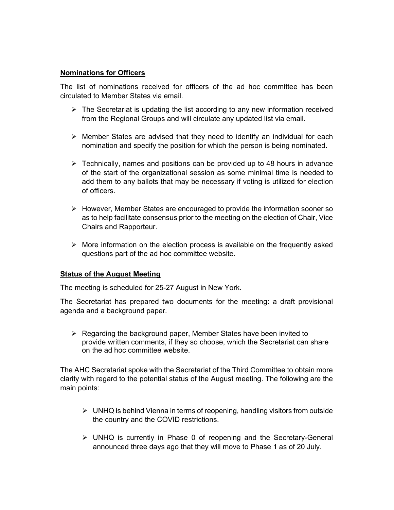#### Nominations for Officers

The list of nominations received for officers of the ad hoc committee has been circulated to Member States via email.

- $\triangleright$  The Secretariat is updating the list according to any new information received from the Regional Groups and will circulate any updated list via email.
- $\triangleright$  Member States are advised that they need to identify an individual for each nomination and specify the position for which the person is being nominated.
- $\triangleright$  Technically, names and positions can be provided up to 48 hours in advance of the start of the organizational session as some minimal time is needed to add them to any ballots that may be necessary if voting is utilized for election of officers.
- $\triangleright$  However, Member States are encouraged to provide the information sooner so as to help facilitate consensus prior to the meeting on the election of Chair, Vice Chairs and Rapporteur.
- $\triangleright$  More information on the election process is available on the frequently asked questions part of the ad hoc committee website.

#### **Status of the August Meeting**

The meeting is scheduled for 25-27 August in New York.

The Secretariat has prepared two documents for the meeting: a draft provisional agenda and a background paper.

 $\triangleright$  Regarding the background paper, Member States have been invited to provide written comments, if they so choose, which the Secretariat can share on the ad hoc committee website.

The AHC Secretariat spoke with the Secretariat of the Third Committee to obtain more clarity with regard to the potential status of the August meeting. The following are the main points:

- $\triangleright$  UNHQ is behind Vienna in terms of reopening, handling visitors from outside the country and the COVID restrictions.
- $\triangleright$  UNHQ is currently in Phase 0 of reopening and the Secretary-General announced three days ago that they will move to Phase 1 as of 20 July.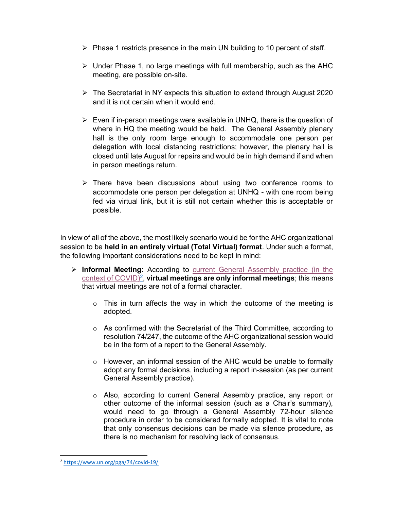- $\triangleright$  Phase 1 restricts presence in the main UN building to 10 percent of staff.
- $\triangleright$  Under Phase 1, no large meetings with full membership, such as the AHC meeting, are possible on-site.
- $\triangleright$  The Secretariat in NY expects this situation to extend through August 2020 and it is not certain when it would end.
- $\triangleright$  Even if in-person meetings were available in UNHQ, there is the question of where in HQ the meeting would be held. The General Assembly plenary hall is the only room large enough to accommodate one person per delegation with local distancing restrictions; however, the plenary hall is closed until late August for repairs and would be in high demand if and when in person meetings return.
- $\triangleright$  There have been discussions about using two conference rooms to accommodate one person per delegation at UNHQ - with one room being fed via virtual link, but it is still not certain whether this is acceptable or possible.

In view of all of the above, the most likely scenario would be for the AHC organizational session to be held in an entirely virtual (Total Virtual) format. Under such a format, the following important considerations need to be kept in mind:

- $\triangleright$  Informal Meeting: According to current General Assembly practice (in the  $\frac{\text{context of COVID}^2}{\text{CovID}}$ , virtual meetings are only informal meetings; this means that virtual meetings are not of a formal character.
	- $\circ$  This in turn affects the way in which the outcome of the meeting is adopted.
	- $\circ$  As confirmed with the Secretariat of the Third Committee, according to resolution 74/247, the outcome of the AHC organizational session would be in the form of a report to the General Assembly.
	- o However, an informal session of the AHC would be unable to formally adopt any formal decisions, including a report in-session (as per current General Assembly practice).
	- o Also, according to current General Assembly practice, any report or other outcome of the informal session (such as a Chair's summary), would need to go through a General Assembly 72-hour silence procedure in order to be considered formally adopted. It is vital to note that only consensus decisions can be made via silence procedure, as there is no mechanism for resolving lack of consensus.

<sup>2</sup> https://www.un.org/pga/74/covid-19/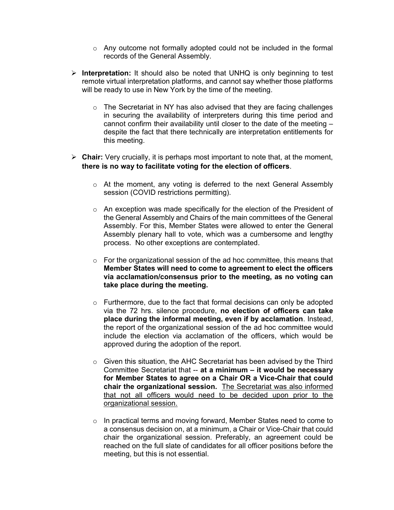- o Any outcome not formally adopted could not be included in the formal records of the General Assembly.
- $\triangleright$  Interpretation: It should also be noted that UNHQ is only beginning to test remote virtual interpretation platforms, and cannot say whether those platforms will be ready to use in New York by the time of the meeting.
	- $\circ$  The Secretariat in NY has also advised that they are facing challenges in securing the availability of interpreters during this time period and cannot confirm their availability until closer to the date of the meeting – despite the fact that there technically are interpretation entitlements for this meeting.
- $\triangleright$  Chair: Very crucially, it is perhaps most important to note that, at the moment, there is no way to facilitate voting for the election of officers.
	- o At the moment, any voting is deferred to the next General Assembly session (COVID restrictions permitting).
	- o An exception was made specifically for the election of the President of the General Assembly and Chairs of the main committees of the General Assembly. For this, Member States were allowed to enter the General Assembly plenary hall to vote, which was a cumbersome and lengthy process. No other exceptions are contemplated.
	- $\circ$  For the organizational session of the ad hoc committee, this means that Member States will need to come to agreement to elect the officers via acclamation/consensus prior to the meeting, as no voting can take place during the meeting.
	- o Furthermore, due to the fact that formal decisions can only be adopted via the 72 hrs. silence procedure, no election of officers can take place during the informal meeting, even if by acclamation. Instead, the report of the organizational session of the ad hoc committee would include the election via acclamation of the officers, which would be approved during the adoption of the report.
	- o Given this situation, the AHC Secretariat has been advised by the Third Committee Secretariat that -- at a minimum – it would be necessary for Member States to agree on a Chair OR a Vice-Chair that could chair the organizational session. The Secretariat was also informed that not all officers would need to be decided upon prior to the organizational session.
	- o In practical terms and moving forward, Member States need to come to a consensus decision on, at a minimum, a Chair or Vice-Chair that could chair the organizational session. Preferably, an agreement could be reached on the full slate of candidates for all officer positions before the meeting, but this is not essential.